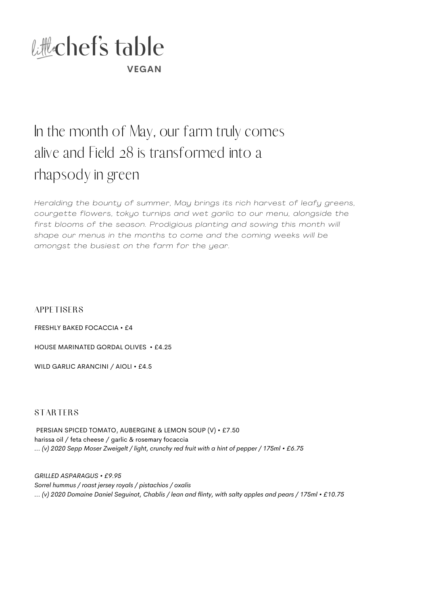

## In the month of May, our farm truly comes alive and Field 28 is transformed into a rhapsody in green

*Heralding the bounty of summer, May brings its rich harvest of leafy greens, courgette flowers, tokyo turnips and wet garl ic to our menu, alongside the first blooms of the season. Prodigious planting and sowing this month wi l l shape our menus in the months to come and the coming weeks wi l l be amongst the busiest on the farm for the year.*

**APPETISERS** 

FRESHLY BAKED FOCACCIA • £4

HOUSE MARINATED GORDAL OLIVES • £4.25

WILD GARLIC ARANCINI / AIOLI • £4.5

**STARTERS** 

PERSIAN SPICED TOMATO, AUBERGINE & LEMON SOUP (V) • £7.50 harissa oil / feta cheese / garlic & rosemary focaccia *... (v) 2020 Sepp Moser Zweigelt / light, crunchy red fruit with a hint of pepper / 175ml • £6.75*

*GRILLED ASPARAGUS • £9.95 Sorrel hummus / roast jersey royals / pistachios / oxalis ... (v) 2020 Domaine Daniel Seguinot, Chablis / lean and flinty, with salty apples and pears / 175ml • £10.75*